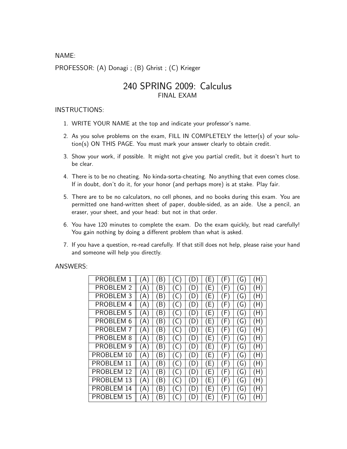NAME:

PROFESSOR: (A) Donagi ; (B) Ghrist ; (C) Krieger

## 240 SPRING 2009: Calculus FINAL EXAM

## INSTRUCTIONS:

- 1. WRITE YOUR NAME at the top and indicate your professor's name.
- 2. As you solve problems on the exam, FILL IN COMPLETELY the letter(s) of your solution(s) ON THIS PAGE. You must mark your answer clearly to obtain credit.
- 3. Show your work, if possible. It might not give you partial credit, but it doesn't hurt to be clear.
- 4. There is to be no cheating. No kinda-sorta-cheating. No anything that even comes close. If in doubt, don't do it, for your honor (and perhaps more) is at stake. Play fair.
- 5. There are to be no calculators, no cell phones, and no books during this exam. You are permitted one hand-written sheet of paper, double-sided, as an aide. Use a pencil, an eraser, your sheet, and your head: but not in that order.
- 6. You have 120 minutes to complete the exam. Do the exam quickly, but read carefully! You gain nothing by doing a different problem than what is asked.
- 7. If you have a question, re-read carefully. If that still does not help, please raise your hand and someone will help you directly.

## ANSWERS:

| PROBLEM 1        | A)  | (B) |       | D)  | E   | F   | G)               | (H) |
|------------------|-----|-----|-------|-----|-----|-----|------------------|-----|
| PROBLEM 2        | (A) | (B) | ( C ) | (D) | E)  | (F) | (G)              | (H) |
| <b>PROBLEM 3</b> | (A) | (B) | (C    | (D) | E)  | (F) | (G)              | (H) |
| PROBLEM 4        | (A) | (B) | (C    | (D) | E)  | (F) | (G)              | (H) |
| <b>PROBLEM 5</b> | (A) | (B) | (C)   | (D) | E)  | (F) | (G)              | (H) |
| PROBLEM 6        | (A) | (B) | (C    | (D) | E)  | (F) | (G)              | (H) |
| <b>PROBLEM 7</b> | (A) | (B) | (C)   | (D) | (E) | (F) | $\overline{G}$ ) | (H) |
| PROBLEM 8        | (A) | (B) | (C    | (D) | E)  | (F) | (G)              | (H) |
| PROBLEM 9        | (A) | (B) | (C)   | (D) | (E) | (F) | $\overline{(G)}$ | (H) |
| PROBLEM 10       | (A) | (B) | (C)   | (D) | E)  | (F) | (G)              | (H) |
| PROBLEM 11       | (A) | (B) | (C)   | (D) | (E) | (F) | (G)              | (H) |
| PROBLEM 12       | (A) | (B) | (C)   | (D) | (E) | (F) | (G)              | (H) |
| PROBLEM 13       | (A) | (B) | (C)   | (D) | (E) | (F) | $\overline{G}$   | (H) |
| PROBLEM 14       | (A) | (B) | (C)   | (D) | E)  | (F) | (G)              | (H) |
| PROBLEM 15       | (A) | B)  | C     | (D) | E)  | (F) | G)               | (H) |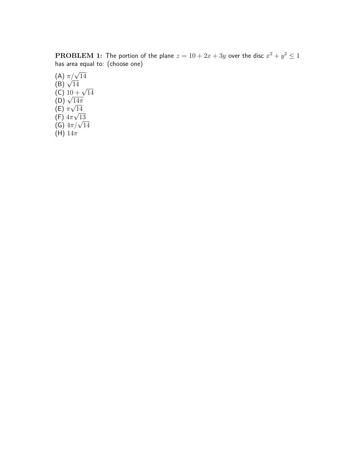$\textbf{PROBLEM 1:}$  The portion of the plane  $z=10+2x+3y$  over the disc  $x^2+y^2\leq 1$ has area equal to: (choose one)

(A)  $\pi/\sqrt{14}$ <br>(B)  $\sqrt{14}$ (B)  $\sqrt{14}$ <br>(C)  $10 + \sqrt{14}$ <br>(D)  $\sqrt{14\pi}$  $(E)$   $\pi$ √  $\frac{14}{6}$ (F)  $4\pi\sqrt{13}$ (F)  $4\pi$ ν 13<br>(G)  $4\pi/\sqrt{14}$ (H)  $14\pi$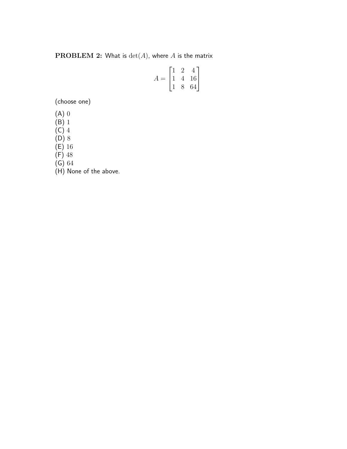**PROBLEM 2:** What is  $\det(A)$ , where A is the matrix

$$
A = \begin{bmatrix} 1 & 2 & 4 \\ 1 & 4 & 16 \\ 1 & 8 & 64 \end{bmatrix}
$$

(choose one)

(A) 0

(B) 1

 $(C)$  4

(D) 8

 $(E)$  16

(F) 48

(G) 64

(H) None of the above.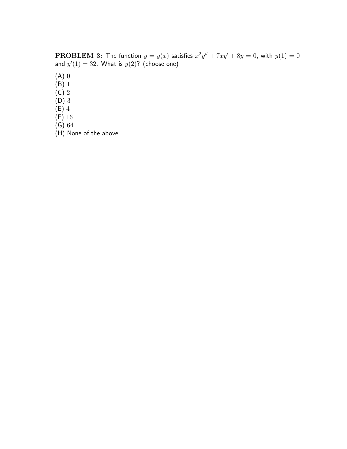**PROBLEM 3:** The function  $y = y(x)$  satisfies  $x^2y'' + 7xy' + 8y = 0$ , with  $y(1) = 0$ and  $y'(1) = 32$ . What is  $y(2)$ ? (choose one)

(A) 0

(B) 1

 $(C)$  2

(D) 3

(E) 4

(F) 16

(G) 64

(H) None of the above.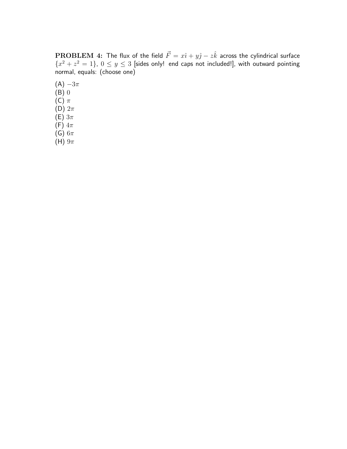$\textbf{PROBLEM\ 4:}\,$  The flux of the field  $\vec{F}=x\hat{\imath}+y\hat{\jmath}-z\hat{k}$  across the cylindrical surface  ${x^2 + z^2 = 1}$ ,  $0 \le y \le 3$  [sides only! end caps not included!], with outward pointing normal, equals: (choose one)

- $(A) -3\pi$ (B) 0 (C)  $\pi$
- (D)  $2\pi$
- (E)  $3\pi$
- (F)  $4\pi$
- (G)  $6\pi$
- (H)  $9\pi$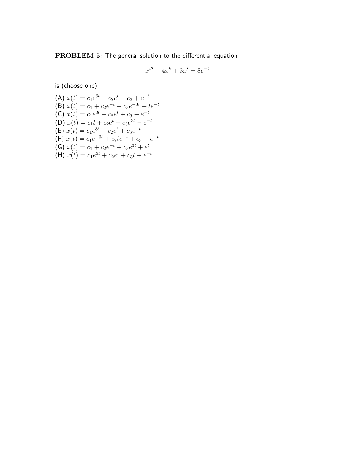PROBLEM 5: The general solution to the differential equation

$$
x''' - 4x'' + 3x' = 8e^{-t}
$$

is (choose one)

(A) 
$$
x(t) = c_1e^{3t} + c_2e^t + c_3 + e^{-t}
$$
  
\n(B)  $x(t) = c_1 + c_2e^{-t} + c_3e^{-3t} + te^{-t}$   
\n(C)  $x(t) = c_1e^{3t} + c_2e^t + c_3 - e^{-t}$   
\n(D)  $x(t) = c_1t + c_2e^t + c_3e^{3t} - e^{-t}$   
\n(E)  $x(t) = c_1e^{3t} + c_2e^t + c_3e^{-t}$   
\n(F)  $x(t) = c_1e^{-3t} + c_2te^{-t} + c_3 - e^{-t}$   
\n(G)  $x(t) = c_1 + c_2e^{-t} + c_3e^{3t} + e^{t}$   
\n(H)  $x(t) = c_1e^{3t} + c_2e^{t} + c_3t + e^{-t}$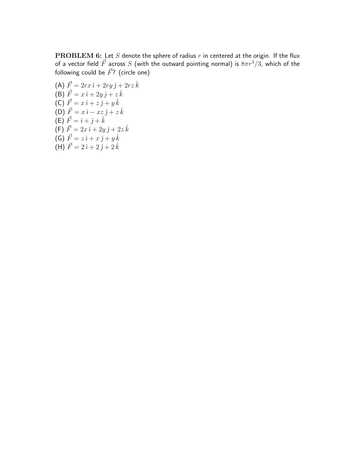$\mathbf{PROBLEM}$  6: Let  $S$  denote the sphere of radius  $r$  in centered at the origin. If the flux of a vector field  $\vec{F}$  across  $S$  (with the outward pointing normal) is  $8\pi r^{3}/3$ , which of the following could be  $\vec{F}$ ? (circle one)

(A) 
$$
\vec{F} = 2rx \hat{i} + 2ry \hat{j} + 2rz \hat{k}
$$
  
\n(B)  $\vec{F} = x \hat{i} + 2y \hat{j} + z \hat{k}$   
\n(C)  $\vec{F} = x \hat{i} + z \hat{j} + y \hat{k}$   
\n(D)  $\vec{F} = x \hat{i} - xz \hat{j} + z \hat{k}$   
\n(E)  $\vec{F} = \hat{i} + \hat{j} + \hat{k}$   
\n(F)  $\vec{F} = 2x \hat{i} + 2y \hat{j} + 2z \hat{k}$   
\n(G)  $\vec{F} = z \hat{i} + x \hat{j} + y \hat{k}$   
\n(H)  $\vec{F} = 2\hat{i} + 2\hat{j} + 2\hat{k}$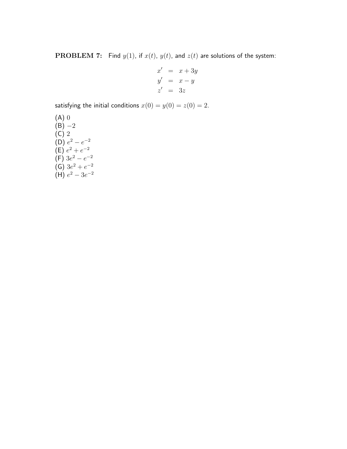**PROBLEM 7:** Find  $y(1)$ , if  $x(t)$ ,  $y(t)$ , and  $z(t)$  are solutions of the system:

$$
x' = x + 3y
$$
  
\n
$$
y' = x - y
$$
  
\n
$$
z' = 3z
$$

satisfying the initial conditions  $x(0) = y(0) = z(0) = 2$ .

(A) 0  $(B) -2$ (C) 2 (D)  $e^2 - e^{-2}$  $(E) e^{2} + e^{-2}$  $(F)$  3 $e^2 - e^{-2}$  $(G)$  3 $e^2 + e^{-2}$ (H)  $e^2 - 3e^{-2}$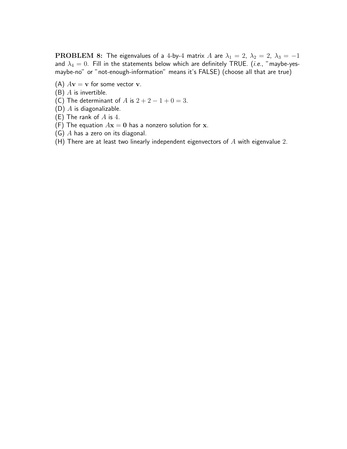**PROBLEM 8:** The eigenvalues of a 4-by-4 matrix A are  $\lambda_1 = 2$ ,  $\lambda_2 = 2$ ,  $\lambda_3 = -1$ and  $\lambda_4 = 0$ . Fill in the statements below which are definitely TRUE. (*i.e.*, "maybe-yesmaybe-no" or "not-enough-information" means it's FALSE) (choose all that are true)

- (A)  $A$ **v** = **v** for some vector **v**.
- $(B)$  A is invertible.
- (C) The determinant of A is  $2 + 2 1 + 0 = 3$ .
- (D)  $A$  is diagonalizable.
- (E) The rank of  $A$  is 4.
- (F) The equation  $A\mathbf{x} = \mathbf{0}$  has a nonzero solution for x.
- (G) A has a zero on its diagonal.
- (H) There are at least two linearly independent eigenvectors of  $A$  with eigenvalue 2.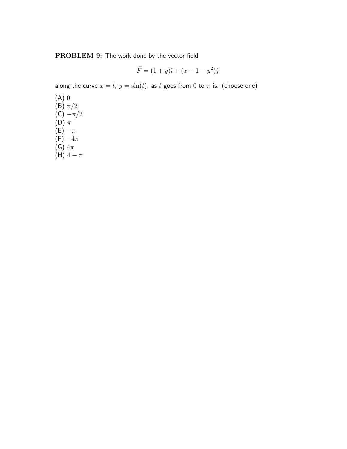PROBLEM 9: The work done by the vector field

$$
\vec{F} = (1+y)\hat{i} + (x-1-y^2)\hat{j}
$$

along the curve  $x = t$ ,  $y = sin(t)$ , as t goes from 0 to  $\pi$  is: (choose one)

(A) 0  $(B)$   $\pi/2$  $(C) -\pi/2$  $(D)$   $\pi$  $(E) - \pi$  $(F) -4\pi$ (G)  $4\pi$ (H)  $4 - \pi$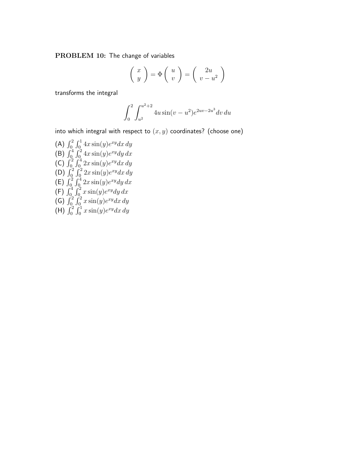PROBLEM 10: The change of variables

$$
\left(\begin{array}{c} x \\ y \end{array}\right) = \Phi\left(\begin{array}{c} u \\ v \end{array}\right) = \left(\begin{array}{c} 2u \\ v - u^2 \end{array}\right)
$$

transforms the integral

$$
\int_0^2 \int_{u^2}^{u^2+2} 4u \sin(v - u^2) e^{2uv - 2u^3} dv du
$$

into which integral with respect to  $(x, y)$  coordinates? (choose one)

(A)  $\int_0^2$  $r<sup>1</sup>$  $\int_0^1 4x\sin(y)e^{xy}dx dy$ (B)  $\int_{0}^{4}$  $\frac{J_0}{f^2}$  $\int_0^2 4x\sin(y)e^{xy}dy\,dx$ (C)  $\int_0^2$  $\frac{J_0}{f^4}$  $\int_0^4 2x\sin(y)e^{xy}dx dy$ (C)  $\int_{0}^{2}$  $\frac{J_0}{f^2}$  $\int_0^2 2x \sin(y) e^{xy} dx dy$ (B)  $\int_0^2$  $\frac{J_0}{f^4}$  $\int_0^4 2x\sin(y)e^{xy}dy\,dx$  $(\begin{matrix} -1 \\ 0 \\ -1 \end{matrix})$   $\begin{matrix} 1 \\ 0 \\ 0 \end{matrix}$  $\frac{J_0}{f^2}$  $\int_0^2 x \sin(y) e^{xy} dy dx$ (G)  $\int_{0}^{2}$  $\frac{J_0}{f^2}$  $\int_0^2 x \sin(y) e^{xy} dx dy$ ( $^{10}$ ,  $^{10}_{0}$ )<br>(H)  $^{2}_{0}$  $\frac{J_0}{f^1}$  $\int_0^1 x \sin(y) e^{xy} dx dy$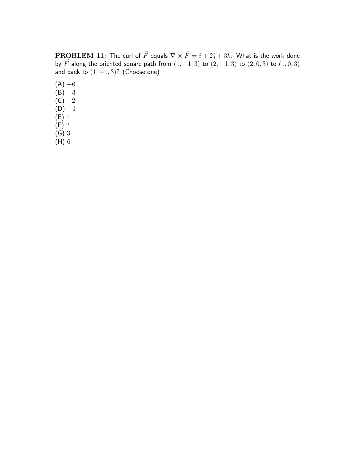$\textbf{PROBLEM 11:}$  The curl of  $\vec{F}$  equals  $\nabla \times \vec{F}=\hat{\imath}+2\hat{\jmath}+3\hat{k}.$  What is the work done by  $\vec{F}$  along the oriented square path from  $(1, -1, 3)$  to  $(2, -1, 3)$  to  $(2, 0, 3)$  to  $(1, 0, 3)$ and back to  $(1, -1, 3)$ ? (Choose one)

- $(A) -6$  $(B) -3$  $(C) -2$  $(D) -1$  $(E)$  1 (F) 2 (G) 3
- (H) 6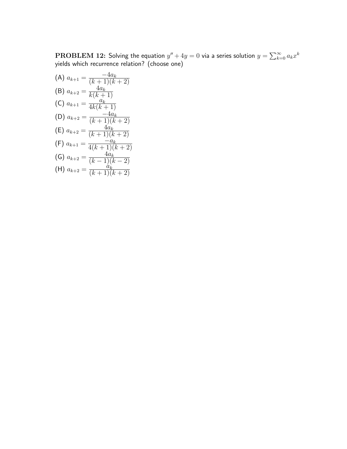$\mathbf{PROBLEM}$  12: Solving the equation  $y''+4y=0$  via a series solution  $y=\sum_{k=1}^{\infty}$  $\sum_{k=0}^{\infty} a_k x^k$ yields which recurrence relation? (choose one)

(A) 
$$
a_{k+1} = \frac{-4a_k}{(k+1)(k+2)}
$$
  
\n(B)  $a_{k+2} = \frac{4a_k}{k(k+1)}$   
\n(C)  $a_{k+1} = \frac{a_k}{4k(k+1)}$   
\n(D)  $a_{k+2} = \frac{-4a_k}{(k+1)(k+2)}$   
\n(E)  $a_{k+2} = \frac{4a_k}{(k+1)(k+2)}$   
\n(F)  $a_{k+1} = \frac{-a_k}{4(k+1)(k+2)}$   
\n(G)  $a_{k+2} = \frac{4a_k}{(k-1)(k-2)}$   
\n(H)  $a_{k+2} = \frac{a_k}{(k+1)(k+2)}$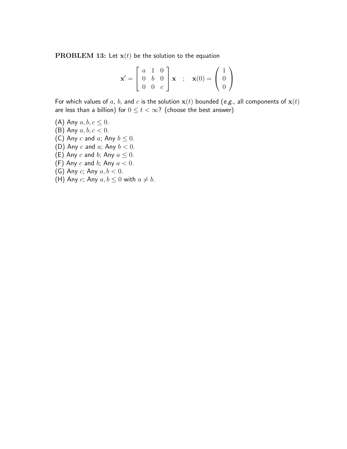**PROBLEM 13:** Let  $x(t)$  be the solution to the equation

$$
\mathbf{x}' = \begin{bmatrix} a & 1 & 0 \\ 0 & b & 0 \\ 0 & 0 & c \end{bmatrix} \mathbf{x} ; \mathbf{x}(0) = \begin{pmatrix} 1 \\ 0 \\ 0 \end{pmatrix}
$$

For which values of a, b, and c is the solution  $x(t)$  bounded (e.g., all components of  $x(t)$ ) are less than a billion) for  $0 \le t < \infty$ ? (choose the best answer)

- (A) Any  $a, b, c \leq 0$ .
- (B) Any  $a, b, c < 0$ .
- (C) Any c and a; Any  $b \leq 0$ .
- (D) Any  $c$  and  $a$ ; Any  $b < 0$ .
- (E) Any c and b; Any  $a \leq 0$ .
- (F) Any  $c$  and  $b$ ; Any  $a < 0$ .
- (G) Any c; Any  $a, b < 0$ .
- (H) Any c; Any  $a, b \leq 0$  with  $a \neq b$ .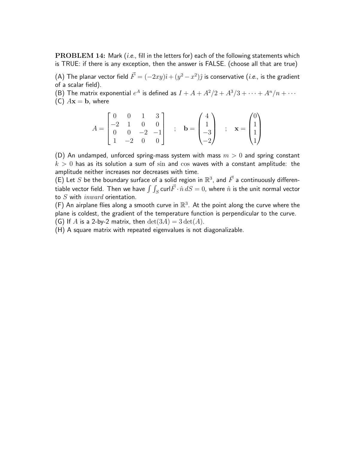PROBLEM 14: Mark (i.e., fill in the letters for) each of the following statements which is TRUE: if there is any exception, then the answer is FALSE. (choose all that are true)

(A) The planar vector field  $\vec{F}=(-2xy)\hat{\imath}+(y^2-x^2)\hat{\jmath}$  is conservative (*i.e.*, is the gradient of a scalar field).

(B) The matrix exponential  $e^A$  is defined as  $I + A + A^2/2 + A^3/3 + \cdots + A^n/n + \cdots$ 

(C)  $A\mathbf{x} = \mathbf{b}$ , where

$$
A = \begin{bmatrix} 0 & 0 & 1 & 3 \\ -2 & 1 & 0 & 0 \\ 0 & 0 & -2 & -1 \\ 1 & -2 & 0 & 0 \end{bmatrix} , b = \begin{pmatrix} 4 \\ 1 \\ -3 \\ -2 \end{pmatrix} , x = \begin{pmatrix} 0 \\ 1 \\ 1 \\ 1 \end{pmatrix}
$$

(D) An undamped, unforced spring-mass system with mass  $m > 0$  and spring constant  $k > 0$  has as its solution a sum of sin and cos waves with a constant amplitude: the amplitude neither increases nor decreases with time.

(E) Let  $S$  be the boundary surface of a solid region in  $\mathbb{R}^3$ , and  $\vec{F}$  a continuously differen-(L) Let  $S$  be the boundary surface or a sond region in  $\mathbb{R}$ , and  $T$  a continuously differentional vector field. Then we have  $\int \int_S \text{curl} \vec{F} \cdot \hat{n} dS = 0$ , where  $\hat{n}$  is the unit normal vector to S with inward orientation.

(F) An airplane flies along a smooth curve in  $\mathbb{R}^3$ . At the point along the curve where the plane is coldest, the gradient of the temperature function is perpendicular to the curve. (G) If A is a 2-by-2 matrix, then  $\det(3A) = 3 \det(A)$ .

(H) A square matrix with repeated eigenvalues is not diagonalizable.